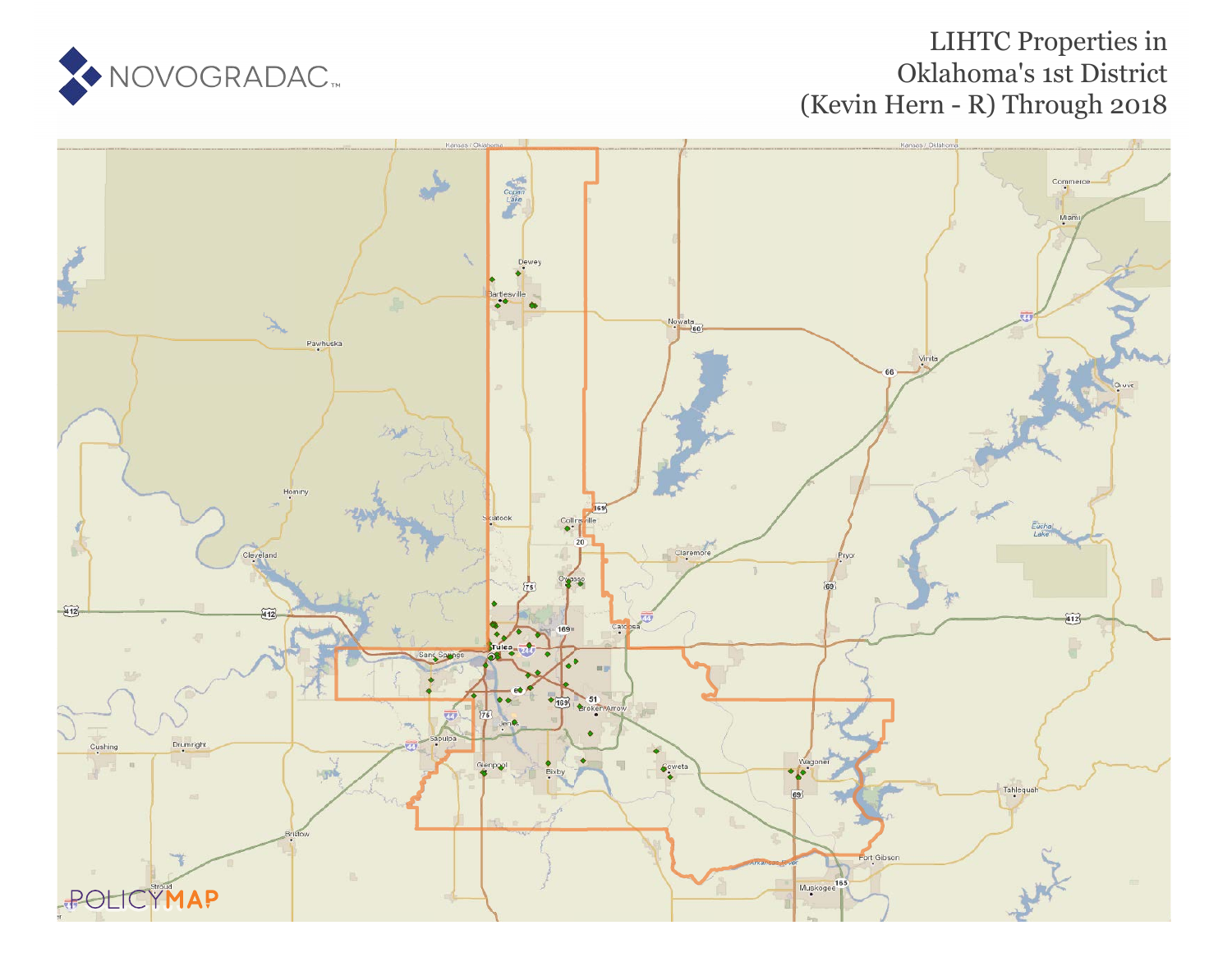# LIHTC Properties in Oklahoma's 1st District (Kevin Hern - R) Through 2018



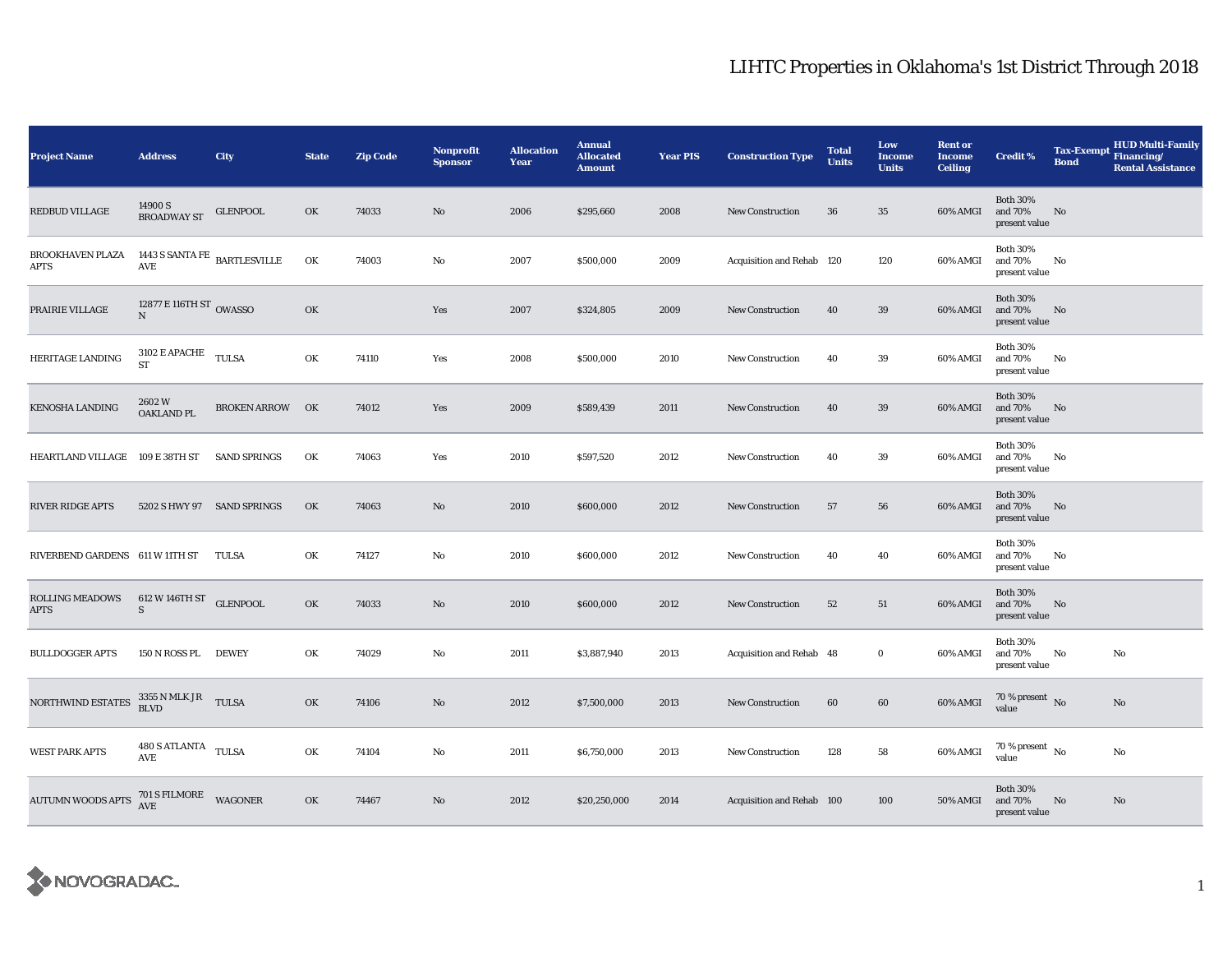| <b>Project Name</b>                   | <b>Address</b>                                                            | City                   | <b>State</b> | <b>Zip Code</b> | <b>Nonprofit</b><br><b>Sponsor</b> | <b>Allocation</b><br>Year | <b>Annual</b><br><b>Allocated</b><br><b>Amount</b> | <b>Year PIS</b> | <b>Construction Type</b>  | <b>Total</b><br><b>Units</b> | Low<br><b>Income</b><br><b>Units</b> | <b>Rent or</b><br><b>Income</b><br><b>Ceiling</b> | <b>Credit %</b>                             | <b>Tax-Exempt</b><br><b>Bond</b> | <b>HUD Multi-Family</b><br>Financing/<br><b>Rental Assistance</b> |
|---------------------------------------|---------------------------------------------------------------------------|------------------------|--------------|-----------------|------------------------------------|---------------------------|----------------------------------------------------|-----------------|---------------------------|------------------------------|--------------------------------------|---------------------------------------------------|---------------------------------------------|----------------------------------|-------------------------------------------------------------------|
| REDBUD VILLAGE                        | 14900 S<br><b>BROADWAY ST</b>                                             | <b>GLENPOOL</b>        | OK           | 74033           | No                                 | 2006                      | \$295,660                                          | 2008            | <b>New Construction</b>   | 36                           | 35                                   | 60% AMGI                                          | <b>Both 30%</b><br>and 70%<br>present value | No                               |                                                                   |
| <b>BROOKHAVEN PLAZA</b><br>APTS       | 1443 S SANTA FE $_{\rm \,BARTLES VILLE}$<br>$\operatorname{\mathsf{AVE}}$ |                        | OK           | 74003           | No                                 | 2007                      | \$500,000                                          | 2009            | Acquisition and Rehab 120 |                              | 120                                  | 60% AMGI                                          | <b>Both 30%</b><br>and 70%<br>present value | No                               |                                                                   |
| PRAIRIE VILLAGE                       | 12877 E 116TH ST $_{\rm OWASSO}$                                          |                        | OK           |                 | Yes                                | 2007                      | \$324,805                                          | 2009            | <b>New Construction</b>   | 40                           | 39                                   | 60% AMGI                                          | <b>Both 30%</b><br>and 70%<br>present value | No                               |                                                                   |
| HERITAGE LANDING                      | 3102 E APACHE TULSA<br><b>ST</b>                                          |                        | OK           | 74110           | Yes                                | 2008                      | \$500,000                                          | 2010            | <b>New Construction</b>   | 40                           | 39                                   | 60% AMGI                                          | <b>Both 30%</b><br>and 70%<br>present value | No                               |                                                                   |
| <b>KENOSHA LANDING</b>                | 2602W<br>OAKLAND PL                                                       | <b>BROKEN ARROW OK</b> |              | 74012           | Yes                                | 2009                      | \$589,439                                          | 2011            | <b>New Construction</b>   | 40                           | 39                                   | 60% AMGI                                          | <b>Both 30%</b><br>and 70%<br>present value | No                               |                                                                   |
| HEARTLAND VILLAGE 109 E 38TH ST       |                                                                           | <b>SAND SPRINGS</b>    | OK           | 74063           | Yes                                | 2010                      | \$597,520                                          | 2012            | <b>New Construction</b>   | 40                           | 39                                   | 60% AMGI                                          | <b>Both 30%</b><br>and 70%<br>present value | No                               |                                                                   |
| <b>RIVER RIDGE APTS</b>               | 5202 S HWY 97 SAND SPRINGS                                                |                        | OK           | 74063           | No                                 | 2010                      | \$600,000                                          | 2012            | <b>New Construction</b>   | 57                           | 56                                   | 60% AMGI                                          | <b>Both 30%</b><br>and 70%<br>present value | No                               |                                                                   |
| RIVERBEND GARDENS 611 W 11TH ST       |                                                                           | TULSA                  | OK           | 74127           | No                                 | 2010                      | \$600,000                                          | 2012            | New Construction          | 40                           | 40                                   | 60% AMGI                                          | <b>Both 30%</b><br>and 70%<br>present value | No                               |                                                                   |
| <b>ROLLING MEADOWS</b><br><b>APTS</b> | 612 W 146TH ST GLENPOOL<br>$\mathbf S$                                    |                        | OK           | 74033           | $\mathbf{No}$                      | 2010                      | \$600,000                                          | 2012            | New Construction          | 52                           | 51                                   | 60% AMGI                                          | <b>Both 30%</b><br>and 70%<br>present value | No                               |                                                                   |
| <b>BULLDOGGER APTS</b>                | 150 N ROSS PL                                                             | <b>DEWEY</b>           | OK           | 74029           | No                                 | 2011                      | \$3,887,940                                        | 2013            | Acquisition and Rehab 48  |                              | $\bf{0}$                             | 60% AMGI                                          | <b>Both 30%</b><br>and 70%<br>present value | No                               | No                                                                |
| NORTHWIND ESTATES                     | $3355$ N MLK JR $$\tt TULSA$$                                             |                        | OK           | 74106           | No                                 | 2012                      | \$7,500,000                                        | 2013            | New Construction          | 60                           | 60                                   | 60% AMGI                                          | $70\,\%$ present $\,$ No value              |                                  | No                                                                |
| <b>WEST PARK APTS</b>                 | 480 S ATLANTA TULSA<br>AVE                                                |                        | OK           | 74104           | No                                 | 2011                      | \$6,750,000                                        | 2013            | <b>New Construction</b>   | 128                          | 58                                   | 60% AMGI                                          | 70 % present $\hbox{~No}$<br>value          |                                  | No                                                                |
| <b>AUTUMN WOODS APTS</b>              | $701$ S FILMORE $$\sf WAGONER$$                                           |                        | OK           | 74467           | No                                 | 2012                      | \$20,250,000                                       | 2014            | Acquisition and Rehab 100 |                              | 100                                  | <b>50% AMGI</b>                                   | <b>Both 30%</b><br>and 70%<br>present value | No                               | No                                                                |

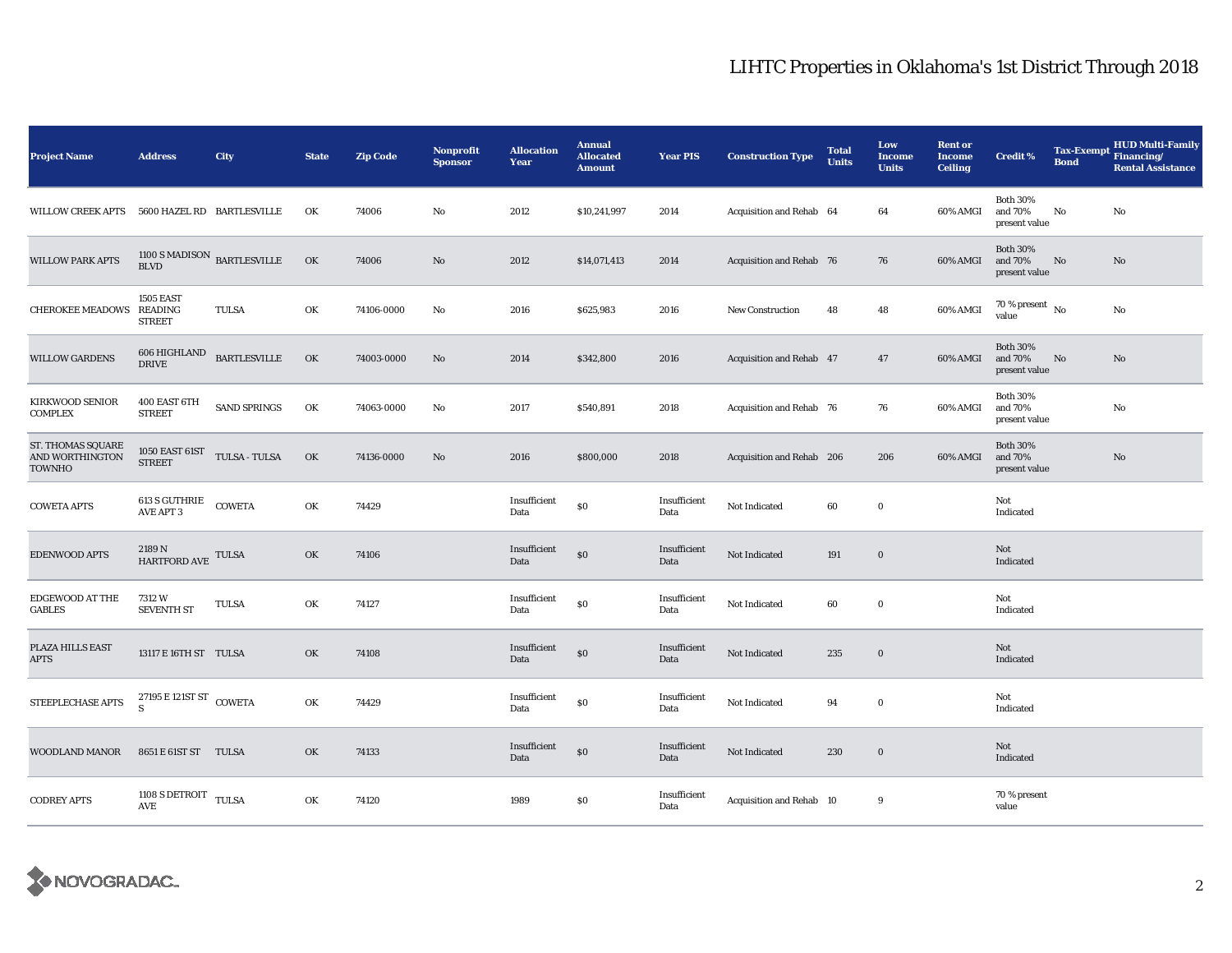| <b>Project Name</b>                            | <b>Address</b>                                             | City                | <b>State</b> | <b>Zip Code</b> | Nonprofit<br><b>Sponsor</b> | <b>Allocation</b><br>Year | <b>Annual</b><br><b>Allocated</b><br><b>Amount</b> | <b>Year PIS</b>      | <b>Construction Type</b>  | <b>Total</b><br><b>Units</b> | Low<br><b>Income</b><br><b>Units</b> | <b>Rent or</b><br><b>Income</b><br><b>Ceiling</b> | <b>Credit %</b>                             | <b>Tax-Exempt</b><br><b>Bond</b> | <b>HUD Multi-Family</b><br>Financing/<br><b>Rental Assistance</b> |
|------------------------------------------------|------------------------------------------------------------|---------------------|--------------|-----------------|-----------------------------|---------------------------|----------------------------------------------------|----------------------|---------------------------|------------------------------|--------------------------------------|---------------------------------------------------|---------------------------------------------|----------------------------------|-------------------------------------------------------------------|
| <b>WILLOW CREEK APTS</b>                       | 5600 HAZEL RD BARTLESVILLE                                 |                     | OK           | 74006           | No                          | 2012                      | \$10,241,997                                       | 2014                 | Acquisition and Rehab 64  |                              | 64                                   | 60% AMGI                                          | <b>Both 30%</b><br>and 70%<br>present value | No                               | No                                                                |
| <b>WILLOW PARK APTS</b>                        | $1100$ S MADISON $\,$ BARTLESVILLE<br><b>BLVD</b>          |                     | OK           | 74006           | No                          | 2012                      | \$14,071,413                                       | 2014                 | Acquisition and Rehab 76  |                              | 76                                   | 60% AMGI                                          | <b>Both 30%</b><br>and 70%<br>present value | No                               | No                                                                |
| CHEROKEE MEADOWS READING                       | <b>1505 EAST</b><br><b>STREET</b>                          | <b>TULSA</b>        | OK           | 74106-0000      | No                          | 2016                      | \$625,983                                          | 2016                 | New Construction          | 48                           | 48                                   | 60% AMGI                                          | $70$ % present $\,$ No $\,$<br>value        |                                  | No                                                                |
| <b>WILLOW GARDENS</b>                          | 606 HIGHLAND<br><b>DRIVE</b>                               | <b>BARTLESVILLE</b> | OK           | 74003-0000      | No                          | 2014                      | \$342,800                                          | 2016                 | Acquisition and Rehab 47  |                              | 47                                   | 60% AMGI                                          | <b>Both 30%</b><br>and 70%<br>present value | No                               | $\rm No$                                                          |
| <b>KIRKWOOD SENIOR</b><br><b>COMPLEX</b>       | 400 EAST 6TH<br><b>STREET</b>                              | SAND SPRINGS        | OK           | 74063-0000      | No                          | 2017                      | \$540,891                                          | 2018                 | Acquisition and Rehab 76  |                              | 76                                   | 60% AMGI                                          | <b>Both 30%</b><br>and 70%<br>present value |                                  | $\mathbf{No}$                                                     |
| ST. THOMAS SQUARE<br>AND WORTHINGTON<br>TOWNHO | 1050 EAST $61ST$ $\,$ TULSA - TULSA<br><b>STREET</b>       |                     | OK           | 74136-0000      | No                          | 2016                      | \$800,000                                          | 2018                 | Acquisition and Rehab 206 |                              | 206                                  | 60% AMGI                                          | <b>Both 30%</b><br>and 70%<br>present value |                                  | No                                                                |
| <b>COWETA APTS</b>                             | 613 S GUTHRIE<br>AVE APT 3                                 | COWETA              | OK           | 74429           |                             | Insufficient<br>Data      | $\$0$                                              | Insufficient<br>Data | Not Indicated             | 60                           | $\bf{0}$                             |                                                   | Not<br>Indicated                            |                                  |                                                                   |
| EDENWOOD APTS                                  | 2189 N<br>HARTFORD AVE                                     | TULSA               | OK           | 74106           |                             | Insufficient<br>Data      | \$0                                                | Insufficient<br>Data | Not Indicated             | 191                          | $\mathbf 0$                          |                                                   | Not<br>Indicated                            |                                  |                                                                   |
| <b>EDGEWOOD AT THE</b><br><b>GABLES</b>        | 7312 W<br><b>SEVENTH ST</b>                                | TULSA               | OK           | 74127           |                             | Insufficient<br>Data      | \$0                                                | Insufficient<br>Data | Not Indicated             | 60                           | $\bf{0}$                             |                                                   | Not<br>Indicated                            |                                  |                                                                   |
| PLAZA HILLS EAST<br><b>APTS</b>                | 13117 E 16TH ST TULSA                                      |                     | OK           | 74108           |                             | Insufficient<br>Data      | \$0                                                | Insufficient<br>Data | Not Indicated             | 235                          | $\bf{0}$                             |                                                   | Not<br>Indicated                            |                                  |                                                                   |
| STEEPLECHASE APTS                              | 27195 $E$ 121<br>ST $\,$ COWETA<br>$\overline{\mathbf{s}}$ |                     | OK           | 74429           |                             | Insufficient<br>Data      | \$0                                                | Insufficient<br>Data | Not Indicated             | 94                           | $\bf{0}$                             |                                                   | Not<br>Indicated                            |                                  |                                                                   |
| <b>WOODLAND MANOR</b>                          | 8651 E 61ST ST TULSA                                       |                     | OK           | 74133           |                             | Insufficient<br>Data      | \$0                                                | Insufficient<br>Data | Not Indicated             | 230                          | $\bf{0}$                             |                                                   | Not<br>Indicated                            |                                  |                                                                   |
| <b>CODREY APTS</b>                             | 1108 S DETROIT TULSA<br>AVE                                |                     | OK           | 74120           |                             | 1989                      | $\$0$                                              | Insufficient<br>Data | Acquisition and Rehab 10  |                              | 9                                    |                                                   | 70 % present<br>value                       |                                  |                                                                   |

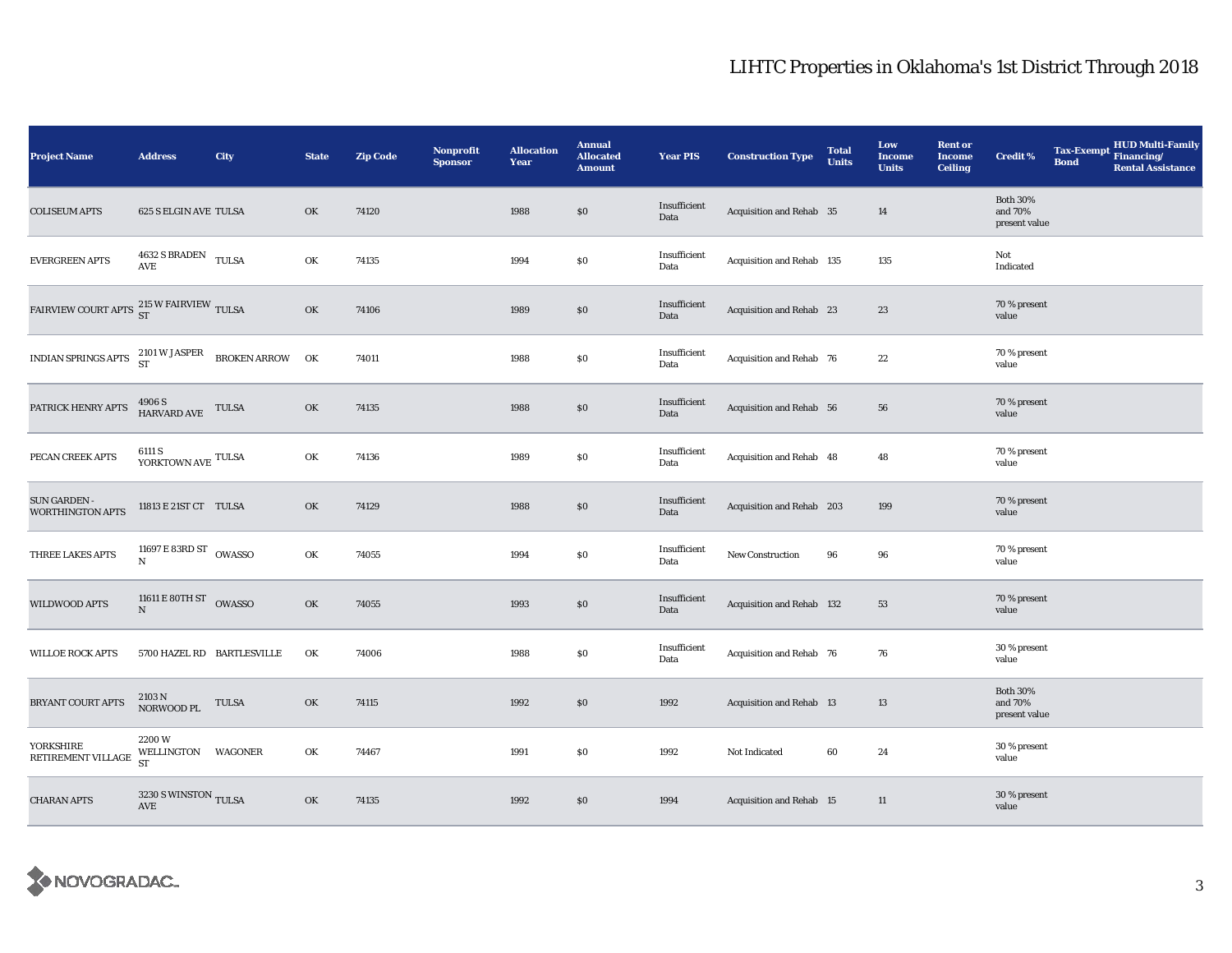| <b>Project Name</b>                                                                                                                  | <b>Address</b>                                       | <b>City</b>  | <b>State</b> | <b>Zip Code</b> | Nonprofit<br><b>Sponsor</b> | <b>Allocation</b><br>Year | <b>Annual</b><br><b>Allocated</b><br><b>Amount</b> | <b>Year PIS</b>      | <b>Construction Type</b>  | <b>Total</b><br><b>Units</b> | Low<br><b>Income</b><br><b>Units</b> | <b>Rent or</b><br><b>Income</b><br><b>Ceiling</b> | <b>Credit %</b>                             | <b>Tax-Exempt</b><br><b>Bond</b> | HUD Multi-Family<br>Financing/<br><b>Rental Assistance</b> |
|--------------------------------------------------------------------------------------------------------------------------------------|------------------------------------------------------|--------------|--------------|-----------------|-----------------------------|---------------------------|----------------------------------------------------|----------------------|---------------------------|------------------------------|--------------------------------------|---------------------------------------------------|---------------------------------------------|----------------------------------|------------------------------------------------------------|
| <b>COLISEUM APTS</b>                                                                                                                 | <b>625 S ELGIN AVE TULSA</b>                         |              | OK           | 74120           |                             | 1988                      | \$0                                                | Insufficient<br>Data | Acquisition and Rehab 35  |                              | 14                                   |                                                   | <b>Both 30%</b><br>and 70%<br>present value |                                  |                                                            |
| <b>EVERGREEN APTS</b>                                                                                                                | 4632 S BRADEN TULSA<br>$\operatorname{\mathbf{AVE}}$ |              | OK           | 74135           |                             | 1994                      | $\$0$                                              | Insufficient<br>Data | Acquisition and Rehab 135 |                              | 135                                  |                                                   | Not<br>Indicated                            |                                  |                                                            |
| FAIRVIEW COURT APTS 215 W FAIRVIEW TULSA                                                                                             |                                                      |              | OK           | 74106           |                             | 1989                      | \$0\$                                              | Insufficient<br>Data | Acquisition and Rehab 23  |                              | 23                                   |                                                   | 70 % present<br>value                       |                                  |                                                            |
| INDIAN SPRINGS APTS $\begin{array}{cc} 2101\,\textrm{W JASPER} & \phantom{0}\texttt{BROKEN} \end{array} \text{RROW} \quad \text{OK}$ |                                                      |              |              | 74011           |                             | 1988                      | $\$0$                                              | Insufficient<br>Data | Acquisition and Rehab 76  |                              | 22                                   |                                                   | 70 % present<br>value                       |                                  |                                                            |
| PATRICK HENRY APTS                                                                                                                   | $4906\,\mathrm{S}$ HARVARD AVE TULSA                 |              | OK           | 74135           |                             | 1988                      | $\$0$                                              | Insufficient<br>Data | Acquisition and Rehab 56  |                              | 56                                   |                                                   | 70 % present<br>value                       |                                  |                                                            |
| PECAN CREEK APTS                                                                                                                     | $6111$ S $$\tt YORKTOWN\ AVE$$ ${\tt TULSA}$$        |              | OK           | 74136           |                             | 1989                      | \$0                                                | Insufficient<br>Data | Acquisition and Rehab 48  |                              | 48                                   |                                                   | 70 % present<br>value                       |                                  |                                                            |
| <b>SUN GARDEN -</b><br><b>WORTHINGTON APTS</b>                                                                                       | 11813 E 21ST CT TULSA                                |              | OK           | 74129           |                             | 1988                      | $\$0$                                              | Insufficient<br>Data | Acquisition and Rehab 203 |                              | 199                                  |                                                   | 70 % present<br>value                       |                                  |                                                            |
| THREE LAKES APTS                                                                                                                     | 11697 E 83RD ST OWASSO<br>$\mathbf N$                |              | OK           | 74055           |                             | 1994                      | $\$0$                                              | Insufficient<br>Data | <b>New Construction</b>   | 96                           | 96                                   |                                                   | 70 % present<br>value                       |                                  |                                                            |
| <b>WILDWOOD APTS</b>                                                                                                                 | 11611 E 80TH ST OWASSO<br>${\bf N}$                  |              | OK           | 74055           |                             | 1993                      | $\$0$                                              | Insufficient<br>Data | Acquisition and Rehab 132 |                              | 53                                   |                                                   | 70 % present<br>value                       |                                  |                                                            |
| <b>WILLOE ROCK APTS</b>                                                                                                              | 5700 HAZEL RD BARTLESVILLE                           |              | OK           | 74006           |                             | 1988                      | $\$0$                                              | Insufficient<br>Data | Acquisition and Rehab 76  |                              | 76                                   |                                                   | 30 % present<br>value                       |                                  |                                                            |
| BRYANT COURT APTS                                                                                                                    | 2103 N<br>NORWOOD PL                                 | <b>TULSA</b> | OK           | 74115           |                             | 1992                      | \$0                                                | 1992                 | Acquisition and Rehab 13  |                              | 13                                   |                                                   | <b>Both 30%</b><br>and 70%<br>present value |                                  |                                                            |
| <b>YORKSHIRE</b><br>RETIREMENT VILLAGE                                                                                               | 2200W<br>WELLINGTON WAGONER<br><b>ST</b>             |              | OK           | 74467           |                             | 1991                      | \$0                                                | 1992                 | Not Indicated             | 60                           | 24                                   |                                                   | 30 % present<br>value                       |                                  |                                                            |
| <b>CHARAN APTS</b>                                                                                                                   | 3230 S WINSTON TULSA<br>AVE                          |              | OK           | 74135           |                             | 1992                      | \$0\$                                              | 1994                 | Acquisition and Rehab 15  |                              | 11                                   |                                                   | 30 % present<br>value                       |                                  |                                                            |

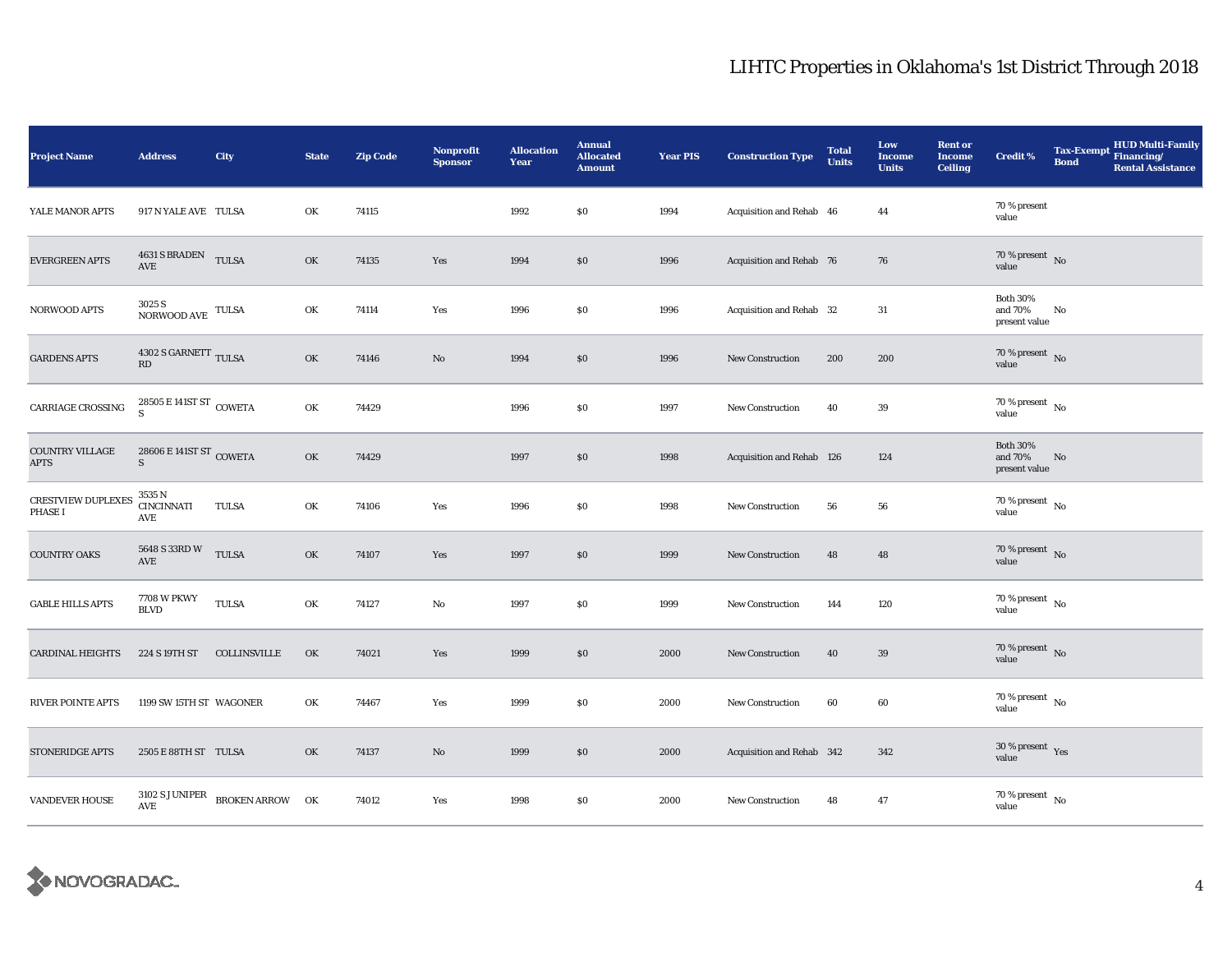| <b>Project Name</b>                         | <b>Address</b>                              | City                             | <b>State</b> | <b>Zip Code</b> | <b>Nonprofit</b><br><b>Sponsor</b> | <b>Allocation</b><br>Year | <b>Annual</b><br><b>Allocated</b><br><b>Amount</b> | <b>Year PIS</b> | <b>Construction Type</b>  | <b>Total</b><br><b>Units</b> | Low<br><b>Income</b><br><b>Units</b> | <b>Rent or</b><br>Income<br><b>Ceiling</b> | <b>Credit %</b>                             | Tax-Exempt Financing/<br><b>Bond</b> | <b>HUD Multi-Family</b><br><b>Rental Assistance</b> |
|---------------------------------------------|---------------------------------------------|----------------------------------|--------------|-----------------|------------------------------------|---------------------------|----------------------------------------------------|-----------------|---------------------------|------------------------------|--------------------------------------|--------------------------------------------|---------------------------------------------|--------------------------------------|-----------------------------------------------------|
| YALE MANOR APTS                             | 917 N YALE AVE TULSA                        |                                  | OK           | 74115           |                                    | 1992                      | $\$0$                                              | 1994            | Acquisition and Rehab 46  |                              | 44                                   |                                            | 70 % present<br>value                       |                                      |                                                     |
| <b>EVERGREEN APTS</b>                       | 4631 S BRADEN TULSA<br>$\operatorname{AVE}$ |                                  | OK           | 74135           | Yes                                | 1994                      | $\$0$                                              | 1996            | Acquisition and Rehab 76  |                              | 76                                   |                                            | $70\%$ present No<br>value                  |                                      |                                                     |
| <b>NORWOOD APTS</b>                         | $3025\,\mathrm{S}$ NORWOOD AVE TULSA        |                                  | OK           | 74114           | Yes                                | 1996                      | \$0                                                | 1996            | Acquisition and Rehab 32  |                              | 31                                   |                                            | <b>Both 30%</b><br>and 70%<br>present value | No                                   |                                                     |
| <b>GARDENS APTS</b>                         | $4302$ S GARNETT $_{\rm TULSA}$<br>RD       |                                  | OK           | 74146           | No                                 | 1994                      | $\$0$                                              | 1996            | <b>New Construction</b>   | 200                          | 200                                  |                                            | $70\,\%$ present $\,$ No value              |                                      |                                                     |
| CARRIAGE CROSSING                           | 28505 E 141ST ST COWETA<br><sub>S</sub>     |                                  | OK           | 74429           |                                    | 1996                      | $\$0$                                              | 1997            | <b>New Construction</b>   | 40                           | 39                                   |                                            | $70\,\%$ present $\,$ No value              |                                      |                                                     |
| <b>COUNTRY VILLAGE</b><br><b>APTS</b>       | 28606 E 141ST ST COWETA<br>S                |                                  | OK           | 74429           |                                    | 1997                      | \$0\$                                              | 1998            | Acquisition and Rehab 126 |                              | 124                                  |                                            | <b>Both 30%</b><br>and 70%<br>present value | No                                   |                                                     |
| <b>CRESTVIEW DUPLEXES</b><br><b>PHASE I</b> | 3535 N<br><b>CINCINNATI</b><br>AVE          | TULSA                            | OK           | 74106           | Yes                                | 1996                      | $\$0$                                              | 1998            | New Construction          | 56                           | 56                                   |                                            | $70\,\%$ present $\,$ No value              |                                      |                                                     |
| <b>COUNTRY OAKS</b>                         | 5648 S 33RD W TULSA<br>AVE                  |                                  | OK           | 74107           | Yes                                | 1997                      | $\$0$                                              | 1999            | <b>New Construction</b>   | 48                           | 48                                   |                                            | $70\,\%$ present $\,$ No value              |                                      |                                                     |
| <b>GABLE HILLS APTS</b>                     | <b>7708 W PKWY</b><br><b>BLVD</b>           | TULSA                            | OK           | 74127           | No                                 | 1997                      | \$0                                                | 1999            | <b>New Construction</b>   | 144                          | 120                                  |                                            | 70 % present $\hbox{~No}$<br>value          |                                      |                                                     |
| <b>CARDINAL HEIGHTS</b>                     | 224 S 19TH ST                               | COLLINSVILLE                     | OK           | 74021           | Yes                                | 1999                      | S <sub>0</sub>                                     | 2000            | New Construction          | 40                           | 39                                   |                                            | $70\,\%$ present $\,$ No value              |                                      |                                                     |
| <b>RIVER POINTE APTS</b>                    | 1199 SW 15TH ST WAGONER                     |                                  | OK           | 74467           | Yes                                | 1999                      | $\$0$                                              | 2000            | <b>New Construction</b>   | 60                           | 60                                   |                                            | 70 % present $\hbox{~No}$<br>value          |                                      |                                                     |
| STONERIDGE APTS                             | 2505 E 88TH ST TULSA                        |                                  | OK           | 74137           | No                                 | 1999                      | $\$0$                                              | 2000            | Acquisition and Rehab 342 |                              | 342                                  |                                            | $30\,\%$ present $\,$ Yes value             |                                      |                                                     |
| <b>VANDEVER HOUSE</b>                       | $\operatorname{\mathsf{AVE}}$               | $3102$ S JUNIPER BROKEN ARROW OK |              | 74012           | Yes                                | 1998                      | \$0\$                                              | 2000            | <b>New Construction</b>   | 48                           | 47                                   |                                            | $70\,\%$ present $\,$ No value              |                                      |                                                     |

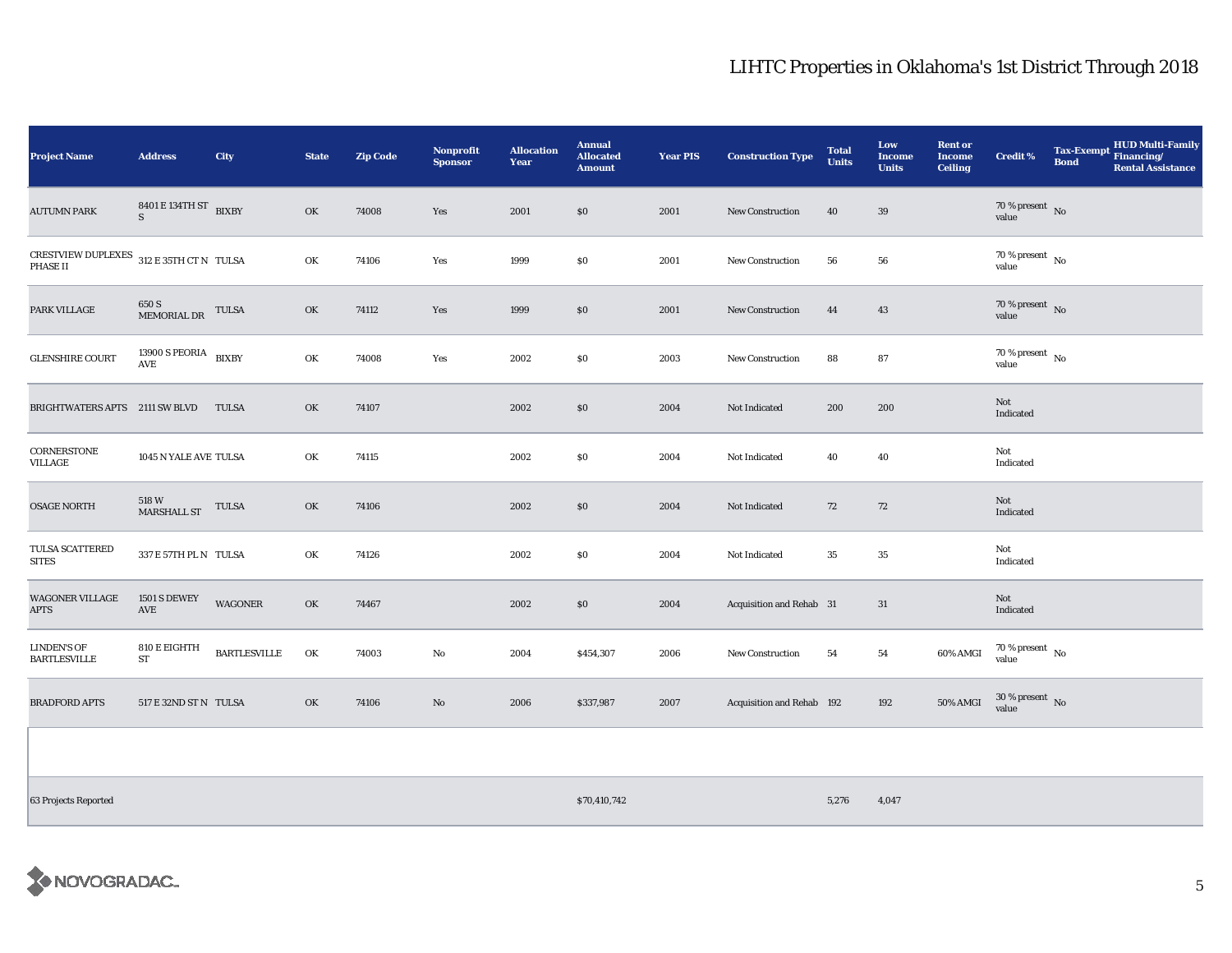| <b>Project Name</b>                                                                                    | <b>Address</b>                              | City                | <b>State</b> | <b>Zip Code</b> | Nonprofit<br><b>Sponsor</b> | <b>Allocation</b><br>Year | <b>Annual</b><br><b>Allocated</b><br><b>Amount</b> | <b>Year PIS</b> | <b>Construction Type</b>  | <b>Total</b><br><b>Units</b> | Low<br><b>Income</b><br><b>Units</b> | <b>Rent or</b><br><b>Income</b><br><b>Ceiling</b> | <b>Credit %</b>                | Tax-Exempt Financing/<br><b>Bond</b> | <b>HUD Multi-Family</b><br><b>Rental Assistance</b> |
|--------------------------------------------------------------------------------------------------------|---------------------------------------------|---------------------|--------------|-----------------|-----------------------------|---------------------------|----------------------------------------------------|-----------------|---------------------------|------------------------------|--------------------------------------|---------------------------------------------------|--------------------------------|--------------------------------------|-----------------------------------------------------|
| <b>AUTUMN PARK</b>                                                                                     | 8401 E 134TH ST BIXBY<br>$\mathbf{S}$       |                     | OK           | 74008           | Yes                         | 2001                      | \$0                                                | 2001            | <b>New Construction</b>   | 40                           | 39                                   |                                                   | $70\,\%$ present $\,$ No value |                                      |                                                     |
| $\begin{tabular}{ll} \bf CRESTVIEW DUPLEXES & 312 E 35TH CT N & TULSA \\ \bf PHASE II & \end{tabular}$ |                                             |                     | OK           | 74106           | Yes                         | 1999                      | \$0                                                | 2001            | <b>New Construction</b>   | 56                           | ${\bf 56}$                           |                                                   | $70\,\%$ present $\,$ No value |                                      |                                                     |
| PARK VILLAGE                                                                                           | $650\rm ~S$ MEMORIAL DR                     | TULSA               | OK           | 74112           | Yes                         | 1999                      | \$0                                                | 2001            | New Construction          | 44                           | 43                                   |                                                   | $70\,\%$ present $\,$ No value |                                      |                                                     |
| <b>GLENSHIRE COURT</b>                                                                                 | 13900 S PEORIA $$\tt BIXBY$$                |                     | OK           | 74008           | Yes                         | 2002                      | \$0                                                | 2003            | New Construction          | 88                           | 87                                   |                                                   | $70\,\%$ present $\,$ No value |                                      |                                                     |
| BRIGHTWATERS APTS 2111 SW BLVD                                                                         |                                             | <b>TULSA</b>        | OK           | 74107           |                             | 2002                      | \$0                                                | 2004            | Not Indicated             | 200                          | 200                                  |                                                   | Not<br>Indicated               |                                      |                                                     |
| CORNERSTONE<br>VILLAGE                                                                                 | 1045 N YALE AVE TULSA                       |                     | OK           | 74115           |                             | 2002                      | \$0                                                | 2004            | Not Indicated             | 40                           | 40                                   |                                                   | Not<br>Indicated               |                                      |                                                     |
| <b>OSAGE NORTH</b>                                                                                     | 518 W<br>MARSHALL ST                        | <b>TULSA</b>        | OK           | 74106           |                             | 2002                      | \$0                                                | 2004            | Not Indicated             | 72                           | 72                                   |                                                   | Not<br>Indicated               |                                      |                                                     |
| TULSA SCATTERED<br><b>SITES</b>                                                                        | 337 E 57TH PL N TULSA                       |                     | OK           | 74126           |                             | 2002                      | \$0                                                | 2004            | Not Indicated             | 35                           | $\bf 35$                             |                                                   | Not<br>Indicated               |                                      |                                                     |
| <b>WAGONER VILLAGE</b><br>APTS                                                                         | <b>1501 S DEWEY</b><br>$\operatorname{AVE}$ | <b>WAGONER</b>      | OK           | 74467           |                             | 2002                      | \$0                                                | 2004            | Acquisition and Rehab 31  |                              | 31                                   |                                                   | Not<br>Indicated               |                                      |                                                     |
| <b>LINDEN'S OF</b><br>BARTLESVILLE                                                                     | 810 E EIGHTH<br>ST                          | <b>BARTLESVILLE</b> | OK           | 74003           | No                          | 2004                      | \$454,307                                          | 2006            | <b>New Construction</b>   | 54                           | 54                                   | 60% AMGI                                          | $70\,\%$ present $\,$ No value |                                      |                                                     |
| <b>BRADFORD APTS</b>                                                                                   | 517 E 32ND ST N TULSA                       |                     | OK           | 74106           | No                          | 2006                      | \$337,987                                          | 2007            | Acquisition and Rehab 192 |                              | 192                                  | 50% AMGI                                          | $30\,\%$ present $\,$ No value |                                      |                                                     |

63 Projects Reported \$70,410,742 5,276 4,047